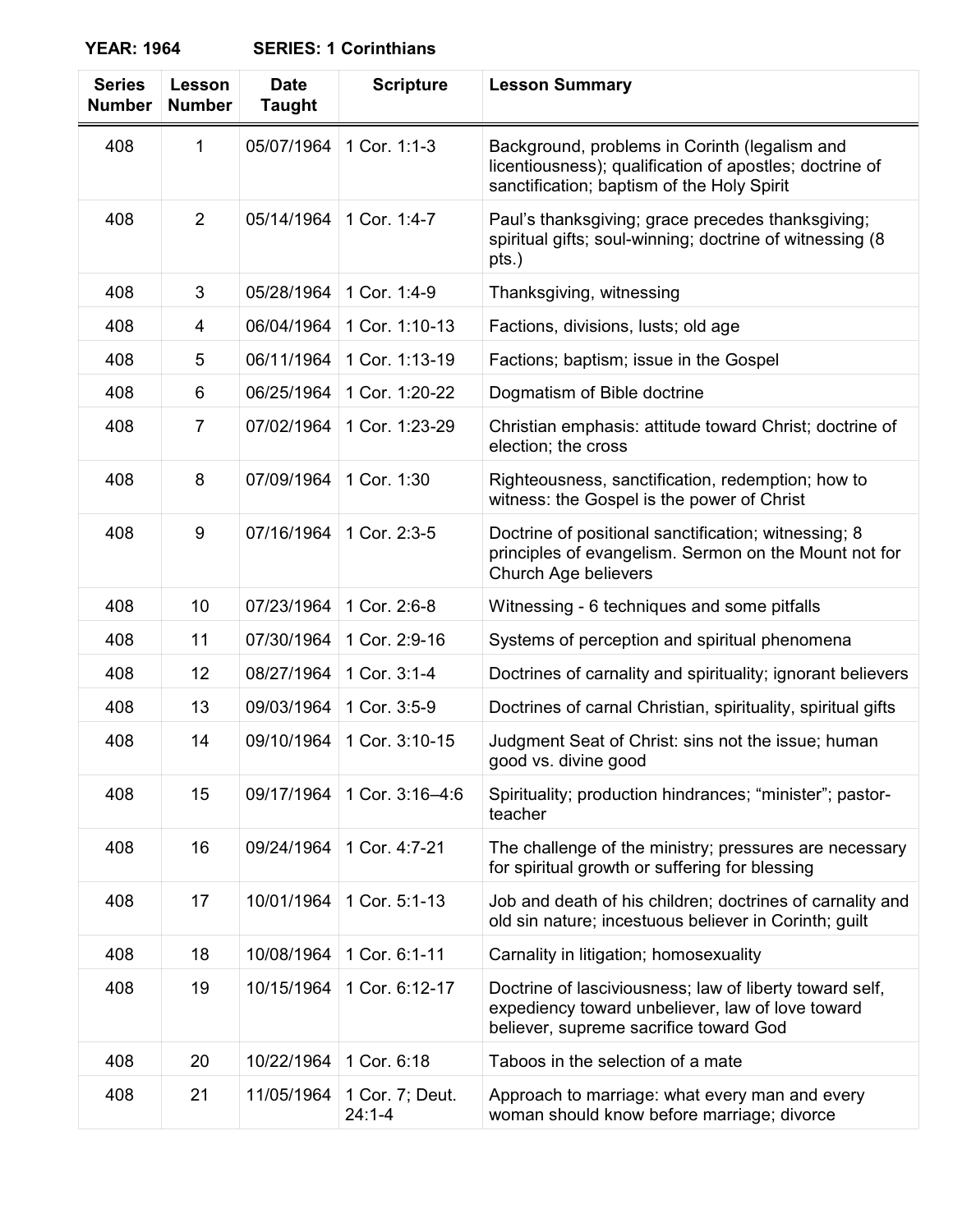| <b>SERIES: 1 Corinthians</b><br><b>YEAR: 1964</b> |
|---------------------------------------------------|
|---------------------------------------------------|

| <b>Series</b><br><b>Number</b> | Lesson<br><b>Number</b> | <b>Date</b><br><b>Taught</b> | <b>Scripture</b>              | <b>Lesson Summary</b>                                                                                                                                  |
|--------------------------------|-------------------------|------------------------------|-------------------------------|--------------------------------------------------------------------------------------------------------------------------------------------------------|
| 408                            | 1                       | 05/07/1964                   | 1 Cor. 1:1-3                  | Background, problems in Corinth (legalism and<br>licentiousness); qualification of apostles; doctrine of<br>sanctification; baptism of the Holy Spirit |
| 408                            | $\overline{2}$          | 05/14/1964                   | 1 Cor. 1:4-7                  | Paul's thanksgiving; grace precedes thanksgiving;<br>spiritual gifts; soul-winning; doctrine of witnessing (8)<br>pts.)                                |
| 408                            | 3                       | 05/28/1964                   | 1 Cor. 1:4-9                  | Thanksgiving, witnessing                                                                                                                               |
| 408                            | 4                       | 06/04/1964                   | 1 Cor. 1:10-13                | Factions, divisions, lusts; old age                                                                                                                    |
| 408                            | 5                       | 06/11/1964                   | 1 Cor. 1:13-19                | Factions; baptism; issue in the Gospel                                                                                                                 |
| 408                            | 6                       | 06/25/1964                   | 1 Cor. 1:20-22                | Dogmatism of Bible doctrine                                                                                                                            |
| 408                            | $\overline{7}$          | 07/02/1964                   | 1 Cor. 1:23-29                | Christian emphasis: attitude toward Christ; doctrine of<br>election; the cross                                                                         |
| 408                            | 8                       | 07/09/1964                   | 1 Cor. 1:30                   | Righteousness, sanctification, redemption; how to<br>witness: the Gospel is the power of Christ                                                        |
| 408                            | 9                       | 07/16/1964                   | 1 Cor. 2:3-5                  | Doctrine of positional sanctification; witnessing; 8<br>principles of evangelism. Sermon on the Mount not for<br>Church Age believers                  |
| 408                            | 10                      | 07/23/1964                   | 1 Cor. 2:6-8                  | Witnessing - 6 techniques and some pitfalls                                                                                                            |
| 408                            | 11                      | 07/30/1964                   | 1 Cor. 2:9-16                 | Systems of perception and spiritual phenomena                                                                                                          |
| 408                            | 12                      | 08/27/1964                   | 1 Cor. 3:1-4                  | Doctrines of carnality and spirituality; ignorant believers                                                                                            |
| 408                            | 13                      | 09/03/1964                   | 1 Cor. 3:5-9                  | Doctrines of carnal Christian, spirituality, spiritual gifts                                                                                           |
| 408                            | 14                      | 09/10/1964                   | 1 Cor. 3:10-15                | Judgment Seat of Christ: sins not the issue; human<br>good vs. divine good                                                                             |
| 408                            | 15                      | 09/17/1964                   | 1 Cor. 3:16-4:6               | Spirituality; production hindrances; "minister"; pastor-<br>teacher                                                                                    |
| 408                            | 16                      | 09/24/1964                   | 1 Cor. 4:7-21                 | The challenge of the ministry; pressures are necessary<br>for spiritual growth or suffering for blessing                                               |
| 408                            | 17                      | 10/01/1964                   | 1 Cor. 5:1-13                 | Job and death of his children; doctrines of carnality and<br>old sin nature; incestuous believer in Corinth; guilt                                     |
| 408                            | 18                      | 10/08/1964                   | 1 Cor. 6:1-11                 | Carnality in litigation; homosexuality                                                                                                                 |
| 408                            | 19                      | 10/15/1964                   | 1 Cor. 6:12-17                | Doctrine of lasciviousness; law of liberty toward self,<br>expediency toward unbeliever, law of love toward<br>believer, supreme sacrifice toward God  |
| 408                            | 20                      | 10/22/1964                   | 1 Cor. 6:18                   | Taboos in the selection of a mate                                                                                                                      |
| 408                            | 21                      | 11/05/1964                   | 1 Cor. 7; Deut.<br>$24:1 - 4$ | Approach to marriage: what every man and every<br>woman should know before marriage; divorce                                                           |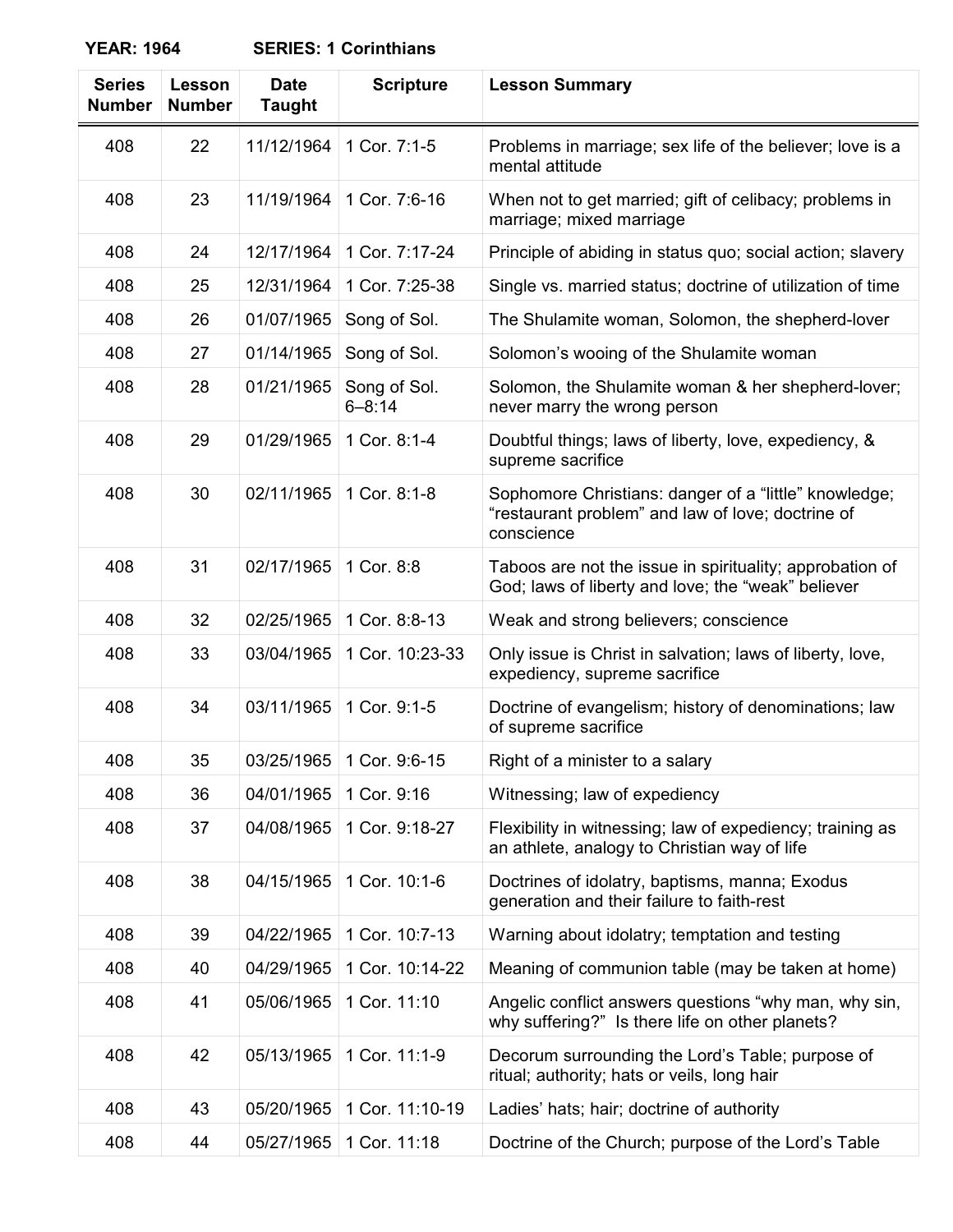| <b>YEAR: 1964</b> | <b>SERIES: 1 Corinthians</b> |
|-------------------|------------------------------|
|-------------------|------------------------------|

| <b>Series</b><br><b>Number</b> | Lesson<br><b>Number</b> | <b>Date</b><br><b>Taught</b> | <b>Scripture</b>           | <b>Lesson Summary</b>                                                                                                    |
|--------------------------------|-------------------------|------------------------------|----------------------------|--------------------------------------------------------------------------------------------------------------------------|
| 408                            | 22                      | 11/12/1964                   | 1 Cor. 7:1-5               | Problems in marriage; sex life of the believer; love is a<br>mental attitude                                             |
| 408                            | 23                      | 11/19/1964                   | 1 Cor. 7:6-16              | When not to get married; gift of celibacy; problems in<br>marriage; mixed marriage                                       |
| 408                            | 24                      | 12/17/1964                   | 1 Cor. 7:17-24             | Principle of abiding in status quo; social action; slavery                                                               |
| 408                            | 25                      | 12/31/1964                   | 1 Cor. 7:25-38             | Single vs. married status; doctrine of utilization of time                                                               |
| 408                            | 26                      | 01/07/1965                   | Song of Sol.               | The Shulamite woman, Solomon, the shepherd-lover                                                                         |
| 408                            | 27                      | 01/14/1965                   | Song of Sol.               | Solomon's wooing of the Shulamite woman                                                                                  |
| 408                            | 28                      | 01/21/1965                   | Song of Sol.<br>$6 - 8:14$ | Solomon, the Shulamite woman & her shepherd-lover;<br>never marry the wrong person                                       |
| 408                            | 29                      | 01/29/1965                   | 1 Cor. 8:1-4               | Doubtful things; laws of liberty, love, expediency, &<br>supreme sacrifice                                               |
| 408                            | 30                      | 02/11/1965                   | 1 Cor. 8:1-8               | Sophomore Christians: danger of a "little" knowledge;<br>"restaurant problem" and law of love; doctrine of<br>conscience |
| 408                            | 31                      | 02/17/1965                   | 1 Cor. 8:8                 | Taboos are not the issue in spirituality; approbation of<br>God; laws of liberty and love; the "weak" believer           |
| 408                            | 32                      | 02/25/1965                   | 1 Cor. 8:8-13              | Weak and strong believers; conscience                                                                                    |
| 408                            | 33                      | 03/04/1965                   | 1 Cor. 10:23-33            | Only issue is Christ in salvation; laws of liberty, love,<br>expediency, supreme sacrifice                               |
| 408                            | 34                      | 03/11/1965                   | 1 Cor. 9:1-5               | Doctrine of evangelism; history of denominations; law<br>of supreme sacrifice                                            |
| 408                            | 35                      | 03/25/1965                   | 1 Cor. 9:6-15              | Right of a minister to a salary                                                                                          |
| 408                            | 36                      | 04/01/1965                   | 1 Cor. 9:16                | Witnessing; law of expediency                                                                                            |
| 408                            | 37                      | 04/08/1965                   | 1 Cor. 9:18-27             | Flexibility in witnessing; law of expediency; training as<br>an athlete, analogy to Christian way of life                |
| 408                            | 38                      | 04/15/1965                   | 1 Cor. 10:1-6              | Doctrines of idolatry, baptisms, manna; Exodus<br>generation and their failure to faith-rest                             |
| 408                            | 39                      | 04/22/1965                   | 1 Cor. 10:7-13             | Warning about idolatry; temptation and testing                                                                           |
| 408                            | 40                      | 04/29/1965                   | 1 Cor. 10:14-22            | Meaning of communion table (may be taken at home)                                                                        |
| 408                            | 41                      | 05/06/1965                   | 1 Cor. 11:10               | Angelic conflict answers questions "why man, why sin,<br>why suffering?" Is there life on other planets?                 |
| 408                            | 42                      | 05/13/1965                   | 1 Cor. 11:1-9              | Decorum surrounding the Lord's Table; purpose of<br>ritual; authority; hats or veils, long hair                          |
| 408                            | 43                      | 05/20/1965                   | 1 Cor. 11:10-19            | Ladies' hats; hair; doctrine of authority                                                                                |
| 408                            | 44                      | 05/27/1965                   | 1 Cor. 11:18               | Doctrine of the Church; purpose of the Lord's Table                                                                      |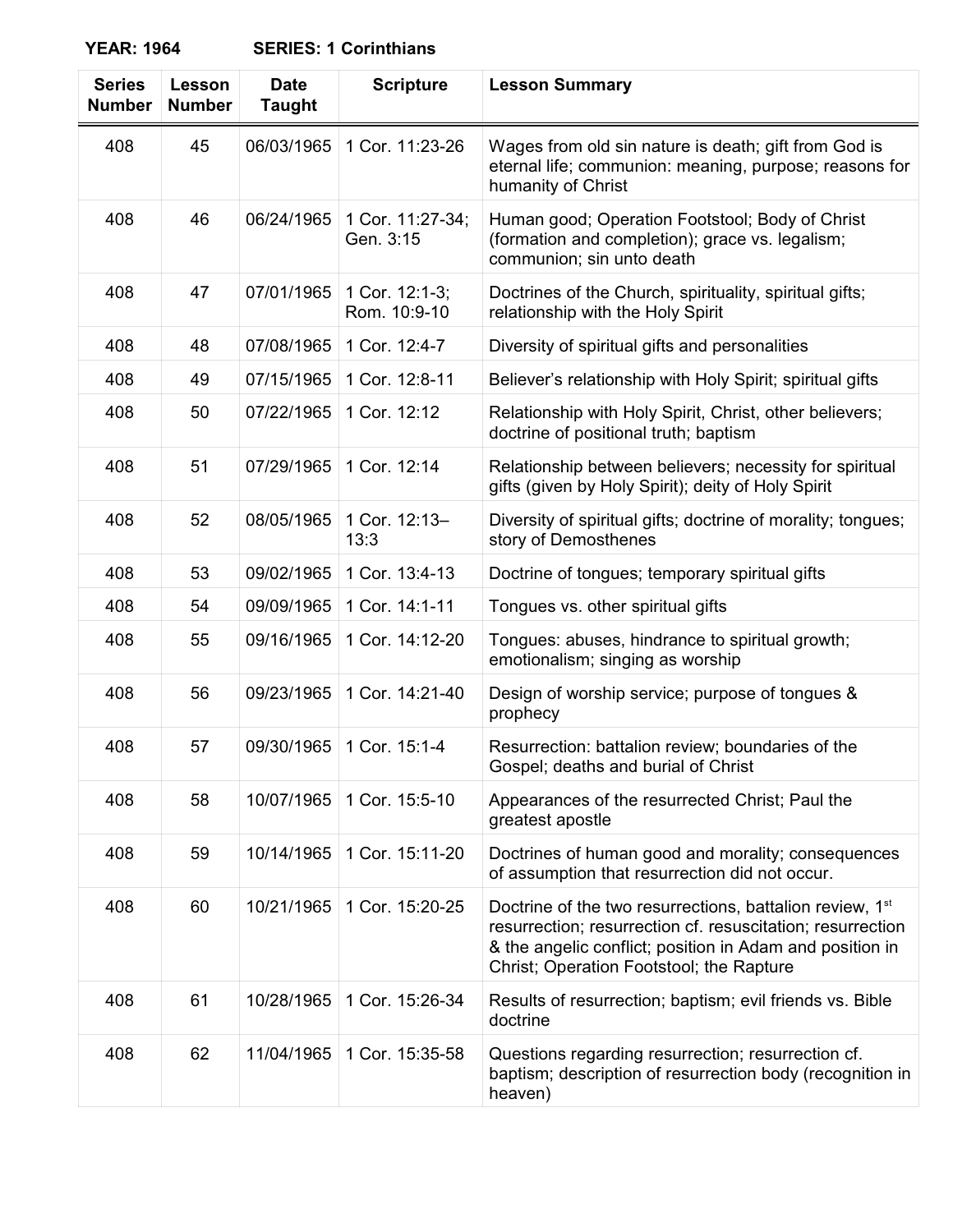**YEAR: 1964 SERIES: 1 Corinthians**

| <b>Series</b><br><b>Number</b> | Lesson<br><b>Number</b> | <b>Date</b><br><b>Taught</b> | <b>Scripture</b>               | <b>Lesson Summary</b>                                                                                                                                                                                                                      |
|--------------------------------|-------------------------|------------------------------|--------------------------------|--------------------------------------------------------------------------------------------------------------------------------------------------------------------------------------------------------------------------------------------|
| 408                            | 45                      | 06/03/1965                   | 1 Cor. 11:23-26                | Wages from old sin nature is death; gift from God is<br>eternal life; communion: meaning, purpose; reasons for<br>humanity of Christ                                                                                                       |
| 408                            | 46                      | 06/24/1965                   | 1 Cor. 11:27-34;<br>Gen. 3:15  | Human good; Operation Footstool; Body of Christ<br>(formation and completion); grace vs. legalism;<br>communion; sin unto death                                                                                                            |
| 408                            | 47                      | 07/01/1965                   | 1 Cor. 12:1-3;<br>Rom. 10:9-10 | Doctrines of the Church, spirituality, spiritual gifts;<br>relationship with the Holy Spirit                                                                                                                                               |
| 408                            | 48                      | 07/08/1965                   | 1 Cor. 12:4-7                  | Diversity of spiritual gifts and personalities                                                                                                                                                                                             |
| 408                            | 49                      | 07/15/1965                   | 1 Cor. 12:8-11                 | Believer's relationship with Holy Spirit; spiritual gifts                                                                                                                                                                                  |
| 408                            | 50                      | 07/22/1965                   | 1 Cor. 12:12                   | Relationship with Holy Spirit, Christ, other believers;<br>doctrine of positional truth; baptism                                                                                                                                           |
| 408                            | 51                      | 07/29/1965                   | 1 Cor. 12:14                   | Relationship between believers; necessity for spiritual<br>gifts (given by Holy Spirit); deity of Holy Spirit                                                                                                                              |
| 408                            | 52                      | 08/05/1965                   | 1 Cor. 12:13-<br>13:3          | Diversity of spiritual gifts; doctrine of morality; tongues;<br>story of Demosthenes                                                                                                                                                       |
| 408                            | 53                      | 09/02/1965                   | 1 Cor. 13:4-13                 | Doctrine of tongues; temporary spiritual gifts                                                                                                                                                                                             |
| 408                            | 54                      | 09/09/1965                   | 1 Cor. 14:1-11                 | Tongues vs. other spiritual gifts                                                                                                                                                                                                          |
| 408                            | 55                      | 09/16/1965                   | 1 Cor. 14:12-20                | Tongues: abuses, hindrance to spiritual growth;<br>emotionalism; singing as worship                                                                                                                                                        |
| 408                            | 56                      | 09/23/1965                   | 1 Cor. 14:21-40                | Design of worship service; purpose of tongues &<br>prophecy                                                                                                                                                                                |
| 408                            | 57                      | 09/30/1965                   | 1 Cor. 15:1-4                  | Resurrection: battalion review; boundaries of the<br>Gospel; deaths and burial of Christ                                                                                                                                                   |
| 408                            | 58                      | 10/07/1965                   | 1 Cor. 15:5-10                 | Appearances of the resurrected Christ; Paul the<br>greatest apostle                                                                                                                                                                        |
| 408                            | 59                      | 10/14/1965                   | 1 Cor. 15:11-20                | Doctrines of human good and morality; consequences<br>of assumption that resurrection did not occur.                                                                                                                                       |
| 408                            | 60                      | 10/21/1965                   | 1 Cor. 15:20-25                | Doctrine of the two resurrections, battalion review, 1 <sup>st</sup><br>resurrection; resurrection cf. resuscitation; resurrection<br>& the angelic conflict; position in Adam and position in<br>Christ; Operation Footstool; the Rapture |
| 408                            | 61                      | 10/28/1965                   | 1 Cor. 15:26-34                | Results of resurrection; baptism; evil friends vs. Bible<br>doctrine                                                                                                                                                                       |
| 408                            | 62                      | 11/04/1965                   | 1 Cor. 15:35-58                | Questions regarding resurrection; resurrection cf.<br>baptism; description of resurrection body (recognition in<br>heaven)                                                                                                                 |